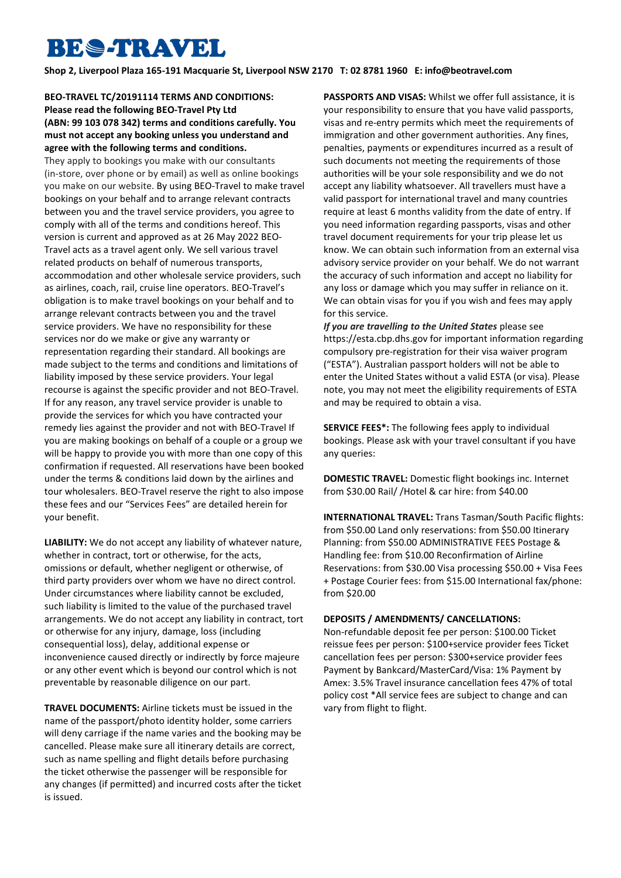## **BES-TRAVEL**

**Shop 2, Liverpool Plaza 165-191 Macquarie St, Liverpool NSW 2170 T: 02 8781 1960 E: [info@beotravel.com](mailto:info@beotravel.com)**

**BEO-TRAVEL TC/20191114 TERMS AND CONDITIONS: Please read the following BEO-Travel Pty Ltd (ABN: 99 103 078 342) terms and conditions carefully. You must not accept any booking unless you understand and agree with the following terms and conditions.**

They apply to bookings you make with our consultants (in-store, over phone or by email) as well as online bookings you make on our website. By using BEO-Travel to make travel bookings on your behalf and to arrange relevant contracts between you and the travel service providers, you agree to comply with all of the terms and conditions hereof. This version is current and approved as at 26 May 2022 BEO-Travel acts as a travel agent only. We sell various travel related products on behalf of numerous transports, accommodation and other wholesale service providers, such as airlines, coach, rail, cruise line operators. BEO-Travel's obligation is to make travel bookings on your behalf and to arrange relevant contracts between you and the travel service providers. We have no responsibility for these services nor do we make or give any warranty or representation regarding their standard. All bookings are made subject to the terms and conditions and limitations of liability imposed by these service providers. Your legal recourse is against the specific provider and not BEO-Travel. If for any reason, any travel service provider is unable to provide the services for which you have contracted your remedy lies against the provider and not with BEO-Travel If you are making bookings on behalf of a couple or a group we will be happy to provide you with more than one copy of this confirmation if requested. All reservations have been booked under the terms & conditions laid down by the airlines and tour wholesalers. BEO-Travel reserve the right to also impose these fees and our "Services Fees" are detailed herein for your benefit.

**LIABILITY:** We do not accept any liability of whatever nature, whether in contract, tort or otherwise, for the acts, omissions or default, whether negligent or otherwise, of third party providers over whom we have no direct control. Under circumstances where liability cannot be excluded, such liability is limited to the value of the purchased travel arrangements. We do not accept any liability in contract, tort or otherwise for any injury, damage, loss (including consequential loss), delay, additional expense or inconvenience caused directly or indirectly by force majeure or any other event which is beyond our control which is not preventable by reasonable diligence on our part.

**TRAVEL DOCUMENTS:** Airline tickets must be issued in the name of the passport/photo identity holder, some carriers will deny carriage if the name varies and the booking may be cancelled. Please make sure all itinerary details are correct, such as name spelling and flight details before purchasing the ticket otherwise the passenger will be responsible for any changes (if permitted) and incurred costs after the ticket is issued.

**PASSPORTS AND VISAS:** Whilst we offer full assistance, it is your responsibility to ensure that you have valid passports, visas and re-entry permits which meet the requirements of immigration and other government authorities. Any fines, penalties, payments or expenditures incurred as a result of such documents not meeting the requirements of those authorities will be your sole responsibility and we do not accept any liability whatsoever. All travellers must have a valid passport for international travel and many countries require at least 6 months validity from the date of entry. If you need information regarding passports, visas and other travel document requirements for your trip please let us know. We can obtain such information from an external visa advisory service provider on your behalf. We do not warrant the accuracy of such information and accept no liability for any loss or damage which you may suffer in reliance on it. We can obtain visas for you if you wish and fees may apply for this service.

*If you are travelling to the United States* please see https://esta.cbp.dhs.gov for important information regarding compulsory pre-registration for their visa waiver program ("ESTA"). Australian passport holders will not be able to enter the United States without a valid ESTA (or visa). Please note, you may not meet the eligibility requirements of ESTA and may be required to obtain a visa.

**SERVICE FEES\*:** The following fees apply to individual bookings. Please ask with your travel consultant if you have any queries:

**DOMESTIC TRAVEL:** Domestic flight bookings inc. Internet from \$30.00 Rail/ /Hotel & car hire: from \$40.00

**INTERNATIONAL TRAVEL:** Trans Tasman/South Pacific flights: from \$50.00 Land only reservations: from \$50.00 Itinerary Planning: from \$50.00 ADMINISTRATIVE FEES Postage & Handling fee: from \$10.00 Reconfirmation of Airline Reservations: from \$30.00 Visa processing \$50.00 + Visa Fees + Postage Courier fees: from \$15.00 International fax/phone: from \$20.00

## **DEPOSITS / AMENDMENTS/ CANCELLATIONS:**

Non-refundable deposit fee per person: \$100.00 Ticket reissue fees per person: \$100+service provider fees Ticket cancellation fees per person: \$300+service provider fees Payment by Bankcard/MasterCard/Visa: 1% Payment by Amex: 3.5% Travel insurance cancellation fees 47% of total policy cost \*All service fees are subject to change and can vary from flight to flight.